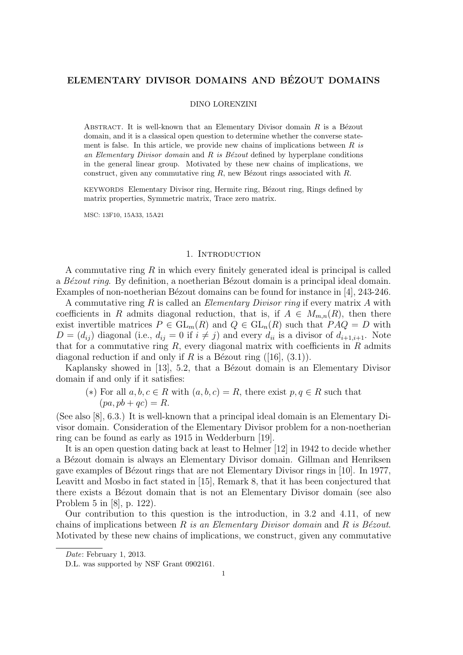## ELEMENTARY DIVISOR DOMAINS AND BEZOUT DOMAINS ´

#### DINO LORENZINI

ABSTRACT. It is well-known that an Elementary Divisor domain  $R$  is a Bézout domain, and it is a classical open question to determine whether the converse statement is false. In this article, we provide new chains of implications between  $R$  is an Elementary Divisor domain and R is Bézout defined by hyperplane conditions in the general linear group. Motivated by these new chains of implications, we construct, given any commutative ring  $R$ , new Bézout rings associated with  $R$ .

KEYWORDS Elementary Divisor ring, Hermite ring, Bézout ring, Rings defined by matrix properties, Symmetric matrix, Trace zero matrix.

MSC: 13F10, 15A33, 15A21

### 1. INTRODUCTION

A commutative ring  $R$  in which every finitely generated ideal is principal is called a Bézout ring. By definition, a noetherian Bézout domain is a principal ideal domain. Examples of non-noetherian Bézout domains can be found for instance in [4], 243-246.

A commutative ring R is called an *Elementary Divisor ring* if every matrix A with coefficients in R admits diagonal reduction, that is, if  $A \in M_{m,n}(R)$ , then there exist invertible matrices  $P \in GL_m(R)$  and  $Q \in GL_n(R)$  such that  $PAQ = D$  with  $D = (d_{ij})$  diagonal (i.e.,  $d_{ij} = 0$  if  $i \neq j$ ) and every  $d_{ii}$  is a divisor of  $d_{i+1,i+1}$ . Note that for a commutative ring  $R$ , every diagonal matrix with coefficients in  $R$  admits diagonal reduction if and only if R is a Bézout ring  $([16], (3.1))$ .

Kaplansky showed in [13], 5.2, that a Bézout domain is an Elementary Divisor domain if and only if it satisfies:

(\*) For all  $a, b, c \in R$  with  $(a, b, c) = R$ , there exist  $p, q \in R$  such that  $(pa, pb + qc) = R.$ 

(See also [8], 6.3.) It is well-known that a principal ideal domain is an Elementary Divisor domain. Consideration of the Elementary Divisor problem for a non-noetherian ring can be found as early as 1915 in Wedderburn [19].

It is an open question dating back at least to Helmer [12] in 1942 to decide whether a B´ezout domain is always an Elementary Divisor domain. Gillman and Henriksen gave examples of B´ezout rings that are not Elementary Divisor rings in [10]. In 1977, Leavitt and Mosbo in fact stated in [15], Remark 8, that it has been conjectured that there exists a Bézout domain that is not an Elementary Divisor domain (see also Problem 5 in [8], p. 122).

Our contribution to this question is the introduction, in 3.2 and 4.11, of new chains of implications between R is an Elementary Divisor domain and R is Bézout. Motivated by these new chains of implications, we construct, given any commutative

Date: February 1, 2013.

D.L. was supported by NSF Grant 0902161.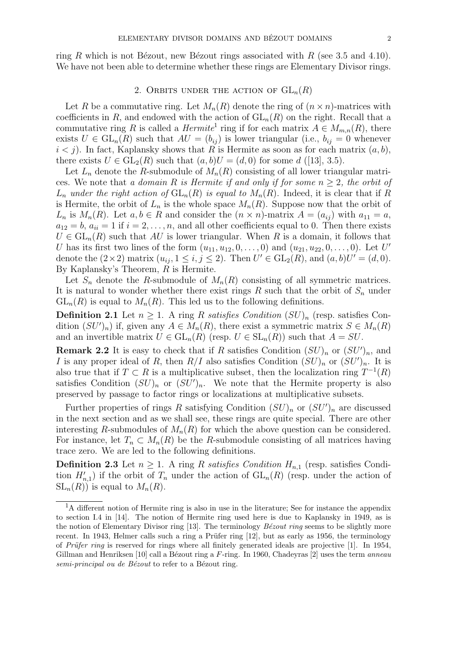ring R which is not Bézout, new Bézout rings associated with R (see 3.5 and 4.10). We have not been able to determine whether these rings are Elementary Divisor rings.

### 2. ORBITS UNDER THE ACTION OF  $GL_n(R)$

Let R be a commutative ring. Let  $M_n(R)$  denote the ring of  $(n \times n)$ -matrices with coefficients in R, and endowed with the action of  $GL_n(R)$  on the right. Recall that a commutative ring R is called a  $Hermite^1$  ring if for each matrix  $A \in M_{m,n}(R)$ , there exists  $U \in GL_n(\tilde{R})$  such that  $AU = (b_{ij})$  is lower triangular (i.e.,  $b_{ij} = 0$  whenever  $i < j$ ). In fact, Kaplansky shows that R is Hermite as soon as for each matrix  $(a, b)$ , there exists  $U \in GL_2(R)$  such that  $(a, b)U = (d, 0)$  for some d ([13], 3.5).

Let  $L_n$  denote the R-submodule of  $M_n(R)$  consisting of all lower triangular matrices. We note that a domain R is Hermite if and only if for some  $n \geq 2$ , the orbit of  $L_n$  under the right action of  $GL_n(R)$  is equal to  $M_n(R)$ . Indeed, it is clear that if R is Hermite, the orbit of  $L_n$  is the whole space  $M_n(R)$ . Suppose now that the orbit of  $L_n$  is  $M_n(R)$ . Let  $a, b \in R$  and consider the  $(n \times n)$ -matrix  $A = (a_{ij})$  with  $a_{11} = a$ ,  $a_{12} = b$ ,  $a_{ii} = 1$  if  $i = 2, \ldots, n$ , and all other coefficients equal to 0. Then there exists  $U \in GL_n(R)$  such that AU is lower triangular. When R is a domain, it follows that U has its first two lines of the form  $(u_{11}, u_{12}, 0, \ldots, 0)$  and  $(u_{21}, u_{22}, 0, \ldots, 0)$ . Let U' denote the  $(2 \times 2)$  matrix  $(u_{ij}, 1 \le i, j \le 2)$ . Then  $U' \in GL_2(R)$ , and  $(a, b)U' = (d, 0)$ . By Kaplansky's Theorem, R is Hermite.

Let  $S_n$  denote the R-submodule of  $M_n(R)$  consisting of all symmetric matrices. It is natural to wonder whether there exist rings R such that the orbit of  $S_n$  under  $GL_n(R)$  is equal to  $M_n(R)$ . This led us to the following definitions.

**Definition 2.1** Let  $n \geq 1$ . A ring R satisfies Condition  $(SU)_n$  (resp. satisfies Condition  $(SU')_n$ ) if, given any  $A \in M_n(R)$ , there exist a symmetric matrix  $S \in M_n(R)$ and an invertible matrix  $U \in GL_n(R)$  (resp.  $U \in SL_n(R)$ ) such that  $A = SU$ .

**Remark 2.2** It is easy to check that if R satisfies Condition  $(SU)_n$  or  $(SU')_n$ , and I is any proper ideal of R, then  $R/I$  also satisfies Condition  $(SU)_n$  or  $(SU')_n$ . It is also true that if  $T \subset R$  is a multiplicative subset, then the localization ring  $T^{-1}(R)$ satisfies Condition  $(SU)_n$  or  $(SU')_n$ . We note that the Hermite property is also preserved by passage to factor rings or localizations at multiplicative subsets.

Further properties of rings R satisfying Condition  $(SU)_n$  or  $(SU')_n$  are discussed in the next section and as we shall see, these rings are quite special. There are other interesting R-submodules of  $M_n(R)$  for which the above question can be considered. For instance, let  $T_n \subset M_n(R)$  be the R-submodule consisting of all matrices having trace zero. We are led to the following definitions.

**Definition 2.3** Let  $n \geq 1$ . A ring R satisfies Condition  $H_{n,1}$  (resp. satisfies Condition  $H'_{n,1}$ ) if the orbit of  $T_n$  under the action of  $GL_n(R)$  (resp. under the action of  $SL_n(R)$  is equal to  $M_n(R)$ .

 ${}^{1}$ A different notion of Hermite ring is also in use in the literature; See for instance the appendix to section I.4 in [14]. The notion of Hermite ring used here is due to Kaplansky in 1949, as is the notion of Elementary Divisor ring  $[13]$ . The terminology *Bézout ring* seems to be slightly more recent. In 1943, Helmer calls such a ring a Prüfer ring  $[12]$ , but as early as 1956, the terminology of *Prüfer ring* is reserved for rings where all finitely generated ideals are projective  $[1]$ . In 1954, Gillman and Henriksen [10] call a Bézout ring a F-ring. In 1960, Chadeyras [2] uses the term *anneau*  $semi-principal\ ou\ de\ B\acute{e}zout$  to refer to a Bézout ring.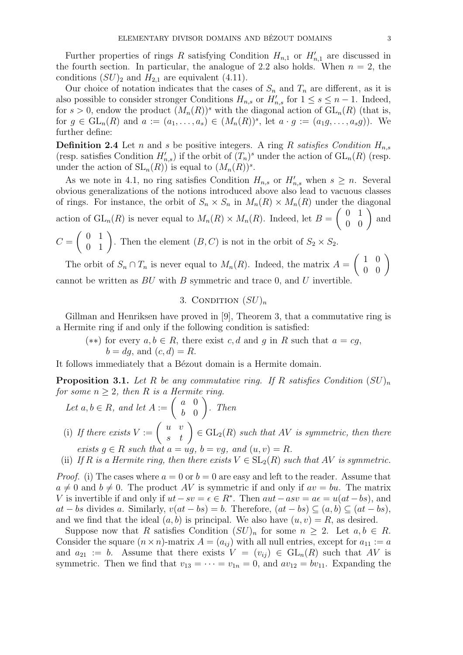Further properties of rings R satisfying Condition  $H_{n,1}$  or  $H'_{n,1}$  are discussed in the fourth section. In particular, the analogue of 2.2 also holds. When  $n = 2$ , the conditions  $(SU)_2$  and  $H_{2,1}$  are equivalent (4.11).

Our choice of notation indicates that the cases of  $S_n$  and  $T_n$  are different, as it is also possible to consider stronger Conditions  $H_{n,s}$  or  $H'_{n,s}$  for  $1 \leq s \leq n-1$ . Indeed, for  $s > 0$ , endow the product  $(M_n(R))^s$  with the diagonal action of  $GL_n(R)$  (that is, for  $g \in GL_n(R)$  and  $a := (a_1, \ldots, a_s) \in (M_n(R))^s$ , let  $a \cdot g := (a_1g, \ldots, a_sg)$ . We further define:

**Definition 2.4** Let n and s be positive integers. A ring R satisfies Condition  $H_{n,s}$ (resp. satisfies Condition  $H'_{n,s}$ ) if the orbit of  $(T_n)^s$  under the action of  $GL_n(R)$  (resp. under the action of  $SL_n(R)$  is equal to  $(M_n(R))^s$ .

As we note in 4.1, no ring satisfies Condition  $H_{n,s}$  or  $H'_{n,s}$  when  $s \geq n$ . Several obvious generalizations of the notions introduced above also lead to vacuous classes of rings. For instance, the orbit of  $S_n \times S_n$  in  $M_n(R) \times M_n(R)$  under the diagonal action of  $GL_n(R)$  is never equal to  $M_n(R) \times M_n(R)$ . Indeed, let  $B =$  $\left(\begin{array}{cc} 0 & 1 \\ 0 & 0 \end{array}\right)$  and  $C =$  $\left(\begin{array}{cc} 0 & 1 \\ 0 & 1 \end{array}\right)$ . Then the element  $(B, C)$  is not in the orbit of  $S_2 \times S_2$ .

The orbit of  $S_n \cap T_n$  is never equal to  $M_n(R)$ . Indeed, the matrix  $A =$  $\left(\begin{array}{cc} 1 & 0 \\ 0 & 0 \end{array}\right)$ cannot be written as  $BU$  with  $B$  symmetric and trace 0, and  $U$  invertible.

# 3. CONDITION  $(SU)_n$

Gillman and Henriksen have proved in [9], Theorem 3, that a commutative ring is a Hermite ring if and only if the following condition is satisfied:

 $(**)$  for every  $a, b ∈ R$ , there exist  $c, d$  and  $g$  in  $R$  such that  $a = cg$ ,  $b = dq$ , and  $(c, d) = R$ .

It follows immediately that a Bézout domain is a Hermite domain.

**Proposition 3.1.** Let R be any commutative ring. If R satisfies Condition  $(SU)_n$ for some  $n \geq 2$ , then R is a Hermite ring.

Let 
$$
a, b \in R
$$
, and let  $A := \begin{pmatrix} a & 0 \\ b & 0 \end{pmatrix}$ . Then

- (i) If there exists  $V := \begin{pmatrix} u & v \\ s & t \end{pmatrix} \in GL_2(R)$  such that AV is symmetric, then there exists  $g \in R$  such that  $a = ug$ ,  $b = vg$ , and  $(u, v) = R$ .
- (ii) If R is a Hermite ring, then there exists  $V \in SL_2(R)$  such that AV is symmetric.

*Proof.* (i) The cases where  $a = 0$  or  $b = 0$  are easy and left to the reader. Assume that  $a \neq 0$  and  $b \neq 0$ . The product AV is symmetric if and only if  $av = bu$ . The matrix V is invertible if and only if  $ut - sv = \epsilon \in \mathbb{R}^*$ . Then  $aut - asv = a\epsilon = u(at - bs)$ , and at − bs divides a. Similarly,  $v(at - bs) = b$ . Therefore,  $(at - bs) \subseteq (a, b) \subseteq (at - bs)$ , and we find that the ideal  $(a, b)$  is principal. We also have  $(u, v) = R$ , as desired.

Suppose now that R satisfies Condition  $(SU)_n$  for some  $n \geq 2$ . Let  $a, b \in R$ . Consider the square  $(n \times n)$ -matrix  $A = (a_{ij})$  with all null entries, except for  $a_{11} := a$ and  $a_{21} := b$ . Assume that there exists  $V = (v_{ij}) \in GL_n(R)$  such that AV is symmetric. Then we find that  $v_{13} = \cdots = v_{1n} = 0$ , and  $av_{12} = bv_{11}$ . Expanding the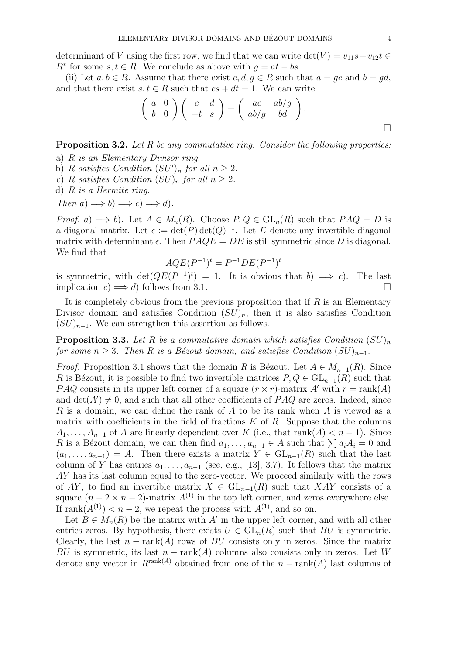determinant of V using the first row, we find that we can write det(V) =  $v_{11}s - v_{12}t \in$  $R^*$  for some  $s, t \in R$ . We conclude as above with  $g = at - bs$ .

(ii) Let  $a, b \in R$ . Assume that there exist  $c, d, q \in R$  such that  $a = qc$  and  $b = qd$ , and that there exist  $s, t \in R$  such that  $cs + dt = 1$ . We can write

$$
\left(\begin{array}{cc} a & 0 \\ b & 0 \end{array}\right) \left(\begin{array}{cc} c & d \\ -t & s \end{array}\right) = \left(\begin{array}{cc} ac & ab/g \\ ab/g & bd \end{array}\right).
$$

Proposition 3.2. Let R be any commutative ring. Consider the following properties:

- a) R is an Elementary Divisor ring.
- b) R satisfies Condition  $(SU')_n$  for all  $n \geq 2$ .
- c) R satisfies Condition  $(SU)_n$  for all  $n \geq 2$ .
- d)  $R$  is a Hermite ring.

Then  $a) \Longrightarrow b) \Longrightarrow c) \Longrightarrow d$ .

*Proof.* a)  $\implies b$ . Let  $A \in M_n(R)$ . Choose  $P, Q \in GL_n(R)$  such that  $PAQ = D$  is a diagonal matrix. Let  $\epsilon := \det(P) \det(Q)^{-1}$ . Let E denote any invertible diagonal matrix with determinant  $\epsilon$ . Then  $PAQE = DE$  is still symmetric since D is diagonal. We find that

$$
AQE(P^{-1})^t = P^{-1}DE(P^{-1})^t
$$

is symmetric, with  $\det(QE(P^{-1})^t) = 1$ . It is obvious that  $b) \implies c$ . The last implication  $c$ )  $\implies d$ ) follows from 3.1.

It is completely obvious from the previous proposition that if  $R$  is an Elementary Divisor domain and satisfies Condition  $(SU)<sub>n</sub>$ , then it is also satisfies Condition  $(SU)_{n-1}$ . We can strengthen this assertion as follows.

**Proposition 3.3.** Let R be a commutative domain which satisfies Condition  $(SU)_n$ for some  $n \geq 3$ . Then R is a Bézout domain, and satisfies Condition  $(SU)_{n-1}$ .

*Proof.* Proposition 3.1 shows that the domain R is Bézout. Let  $A \in M_{n-1}(R)$ . Since R is Bézout, it is possible to find two invertible matrices  $P, Q \in GL_{n-1}(R)$  such that *PAQ* consists in its upper left corner of a square  $(r \times r)$ -matrix A' with  $r = \text{rank}(A)$ and  $\det(A') \neq 0$ , and such that all other coefficients of PAQ are zeros. Indeed, since R is a domain, we can define the rank of A to be its rank when A is viewed as a matrix with coefficients in the field of fractions  $K$  of  $R$ . Suppose that the columns  $A_1, \ldots, A_{n-1}$  of A are linearly dependent over K (i.e., that rank(A)  $\lt n-1$ ). Since R is a Bézout domain, we can then find  $a_1, \ldots, a_{n-1} \in A$  such that  $\sum a_i A_i = 0$  and  $(a_1, \ldots, a_{n-1}) = A$ . Then there exists a matrix  $Y \in GL_{n-1}(R)$  such that the last column of Y has entries  $a_1, \ldots, a_{n-1}$  (see, e.g., [13], 3.7). It follows that the matrix AY has its last column equal to the zero-vector. We proceed similarly with the rows of AY, to find an invertible matrix  $X \in GL_{n-1}(R)$  such that XAY consists of a square  $(n-2 \times n-2)$ -matrix  $A^{(1)}$  in the top left corner, and zeros everywhere else. If rank $(A^{(1)}) < n-2$ , we repeat the process with  $A^{(1)}$ , and so on.

Let  $B \in M_n(R)$  be the matrix with A' in the upper left corner, and with all other entries zeros. By hypothesis, there exists  $U \in GL_n(R)$  such that  $BU$  is symmetric. Clearly, the last  $n - \text{rank}(A)$  rows of BU consists only in zeros. Since the matrix BU is symmetric, its last  $n - \text{rank}(A)$  columns also consists only in zeros. Let W denote any vector in  $R^{\text{rank}(A)}$  obtained from one of the  $n - \text{rank}(A)$  last columns of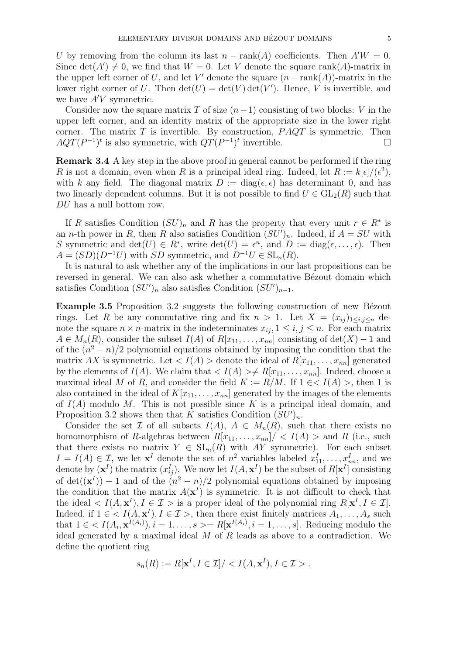U by removing from the column its last  $n - \text{rank}(A)$  coefficients. Then  $A/W = 0$ . Since  $\det(A') \neq 0$ , we find that  $W = 0$ . Let V denote the square rank(A)-matrix in the upper left corner of U, and let V' denote the square  $(n - \text{rank}(A))$ -matrix in the lower right corner of U. Then  $\det(U) = \det(V) \det(V')$ . Hence, V is invertible, and we have  $A'V$  symmetric.

Consider now the square matrix T of size  $(n-1)$  consisting of two blocks: V in the upper left corner, and an identity matrix of the appropriate size in the lower right corner. The matrix  $T$  is invertible. By construction,  $PAQT$  is symmetric. Then  $AQT(P^{-1})^t$  is also symmetric, with  $QT(P^{-1})^t$  invertible.

Remark 3.4 A key step in the above proof in general cannot be performed if the ring R is not a domain, even when R is a principal ideal ring. Indeed, let  $R := k[\epsilon]/(\epsilon^2)$ , with k any field. The diagonal matrix  $D := diag(\epsilon, \epsilon)$  has determinant 0, and has two linearly dependent columns. But it is not possible to find  $U \in GL_2(R)$  such that DU has a null bottom row.

If R satisfies Condition  $(SU)_n$  and R has the property that every unit  $r \in R^*$  is an *n*-th power in R, then R also satisfies Condition  $(SU')_n$ . Indeed, if  $A = SU$  with S symmetric and  $\det(U) \in R^*$ , write  $\det(U) = e^n$ , and  $D := \text{diag}(\epsilon, \ldots, \epsilon)$ . Then  $A = (SD)(D^{-1}U)$  with SD symmetric, and  $D^{-1}U \in SL_n(R)$ .

It is natural to ask whether any of the implications in our last propositions can be reversed in general. We can also ask whether a commutative Bézout domain which satisfies Condition  $(SU')_n$  also satisfies Condition  $(SU')_{n-1}$ .

Example 3.5 Proposition 3.2 suggests the following construction of new Bézout rings. Let R be any commutative ring and fix  $n > 1$ . Let  $X = (x_{ij})_{1 \le i,j \le n}$  denote the square  $n \times n$ -matrix in the indeterminates  $x_{ij}$ ,  $1 \leq i, j \leq n$ . For each matrix  $A \in M_n(R)$ , consider the subset  $I(A)$  of  $R[x_{11},...,x_{nn}]$  consisting of  $det(X) - 1$  and of the  $(n^2 - n)/2$  polynomial equations obtained by imposing the condition that the matrix AX is symmetric. Let  $\langle I(A) \rangle$  denote the ideal of  $R[x_{11},...,x_{nn}]$  generated by the elements of  $I(A)$ . We claim that  $\langle I(A) \rangle \neq R[x_{11}, \ldots, x_{nn}]$ . Indeed, choose a maximal ideal M of R, and consider the field  $K := R/M$ . If  $1 \in < I(A) >$ , then 1 is also contained in the ideal of  $K[x_{11}, \ldots, x_{nn}]$  generated by the images of the elements of  $I(A)$  modulo M. This is not possible since K is a principal ideal domain, and Proposition 3.2 shows then that K satisfies Condition  $(SU')_n$ .

Consider the set  $\mathcal I$  of all subsets  $I(A)$ ,  $A \in M_n(R)$ , such that there exists no homomorphism of R-algebras between  $R[x_{11},...,x_{nn}]/\langle I(A) \rangle$  and R (i.e., such that there exists no matrix  $Y \in SL_n(R)$  with AY symmetric). For each subset  $I = I(A) \in \mathcal{I}$ , we let  $\mathbf{x}^I$  denote the set of  $n^2$  variables labeled  $x_{11}^I, \ldots, x_{nn}^I$ , and we denote by  $(\mathbf{x}^I)$  the matrix  $(x_{ij}^I)$ . We now let  $I(A, \mathbf{x}^I)$  be the subset of  $R[\mathbf{x}^I]$  consisting of  $\det((\mathbf{x}^I)) - 1$  and of the  $(n^2 - n)/2$  polynomial equations obtained by imposing the condition that the matrix  $A(\mathbf{x}^I)$  is symmetric. It is not difficult to check that the ideal  $\langle I(A, \mathbf{x}^I), I \in \mathcal{I} \rangle$  is a proper ideal of the polynomial ring  $R[\mathbf{x}^I, I \in \mathcal{I}]$ . Indeed, if  $1 \in \langle I(A, \mathbf{x}^I), I \in \mathcal{I} \rangle$ , then there exist finitely matrices  $A_1, \ldots, A_s$  such that  $1 \in \langle I(A_i, \mathbf{x}^{I(A_i)}), i = 1, \ldots, s \rangle = R[\mathbf{x}^{I(A_i)}, i = 1, \ldots, s]$ . Reducing modulo the ideal generated by a maximal ideal  $M$  of  $R$  leads as above to a contradiction. We define the quotient ring

$$
s_n(R) := R[\mathbf{x}^I, I \in \mathcal{I}]/ < I(A, \mathbf{x}^I), I \in \mathcal{I} > .
$$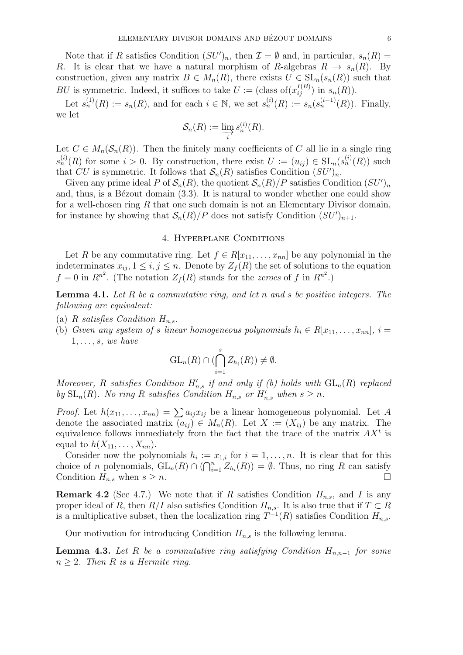Note that if R satisfies Condition  $(SU')_n$ , then  $\mathcal{I} = \emptyset$  and, in particular,  $s_n(R) =$ R. It is clear that we have a natural morphism of R-algebras  $R \to s_n(R)$ . By construction, given any matrix  $B \in M_n(R)$ , there exists  $U \in SL_n(s_n(R))$  such that BU is symmetric. Indeed, it suffices to take  $U := (\text{class of}(x_{ij}^{I(B)}) \text{ in } s_n(R)).$ 

Let  $s_n^{(1)}(R) := s_n(R)$ , and for each  $i \in \mathbb{N}$ , we set  $s_n^{(i)}(R) := s_n(s_n^{(i-1)}(R))$ . Finally, we let

$$
\mathcal{S}_n(R) := \varinjlim_i s_n^{(i)}(R).
$$

Let  $C \in M_n(\mathcal{S}_n(R))$ . Then the finitely many coefficients of C all lie in a single ring  $s_n^{(i)}(R)$  for some  $i > 0$ . By construction, there exist  $U := (u_{ij}) \in SL_n(s_n^{(i)}(R))$  such that CU is symmetric. It follows that  $\mathcal{S}_n(R)$  satisfies Condition  $(SU')_n$ .

Given any prime ideal P of  $\mathcal{S}_n(R)$ , the quotient  $\mathcal{S}_n(R)/P$  satisfies Condition  $(SU')_n$ and, thus, is a B $\acute{e}z$ out domain  $(3.3)$ . It is natural to wonder whether one could show for a well-chosen ring  $R$  that one such domain is not an Elementary Divisor domain, for instance by showing that  $\mathcal{S}_n(R)/P$  does not satisfy Condition  $(SU')_{n+1}$ .

### 4. Hyperplane Conditions

Let R be any commutative ring. Let  $f \in R[x_{11}, \ldots, x_{nn}]$  be any polynomial in the indeterminates  $x_{ij}$ ,  $1 \leq i, j \leq n$ . Denote by  $Z_f(R)$  the set of solutions to the equation  $f = 0$  in  $R^{n^2}$ . (The notation  $Z_f(R)$  stands for the *zeroes* of f in  $R^{n^2}$ .)

**Lemma 4.1.** Let R be a commutative ring, and let n and s be positive integers. The following are equivalent:

- (a) R satisfies Condition  $H_{n,s}$ .
- (b) Given any system of s linear homogeneous polynomials  $h_i \in R[x_{11},...,x_{nn}], i =$  $1, \ldots, s$ , we have

$$
\mathrm{GL}_n(R) \cap (\bigcap_{i=1}^s Z_{h_i}(R)) \neq \emptyset.
$$

Moreover, R satisfies Condition  $H'_{n,s}$  if and only if (b) holds with  $GL_n(R)$  replaced by  $SL_n(R)$ . No ring R satisfies Condition  $H_{n,s}$  or  $H'_{n,s}$  when  $s \geq n$ .

*Proof.* Let  $h(x_{11},...,x_{nn}) = \sum a_{ij}x_{ij}$  be a linear homogeneous polynomial. Let A denote the associated matrix  $(a_{ij}) \in M_n(R)$ . Let  $X := (X_{ij})$  be any matrix. The equivalence follows immediately from the fact that the trace of the matrix  $AX<sup>t</sup>$  is equal to  $h(X_{11},\ldots,X_{nn}).$ 

Consider now the polynomials  $h_i := x_{1,i}$  for  $i = 1, \ldots, n$ . It is clear that for this choice of n polynomials,  $GL_n(R) \cap (\bigcap_{i=1}^n Z_{h_i}(R)) = \emptyset$ . Thus, no ring R can satisfy Condition  $H_{n,s}$  when  $s \geq n$ .

**Remark 4.2** (See 4.7.) We note that if R satisfies Condition  $H_{n,s}$ , and I is any proper ideal of R, then  $R/I$  also satisfies Condition  $H_{n,s}$ . It is also true that if  $T \subset R$ is a multiplicative subset, then the localization ring  $T^{-1}(R)$  satisfies Condition  $H_{n,s}$ .

Our motivation for introducing Condition  $H_{n,s}$  is the following lemma.

**Lemma 4.3.** Let R be a commutative ring satisfying Condition  $H_{n,n-1}$  for some  $n \geq 2$ . Then R is a Hermite ring.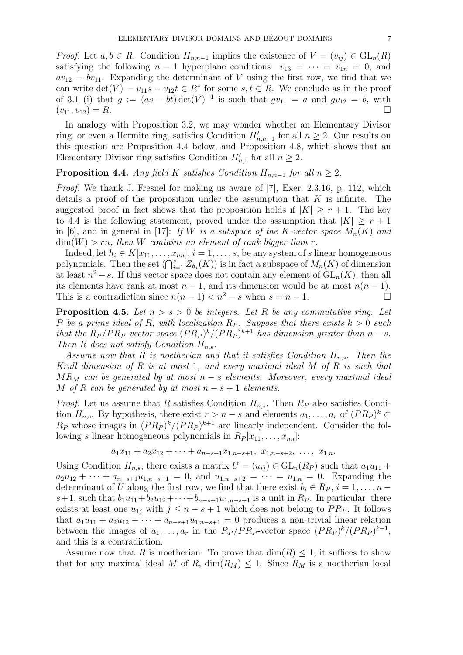*Proof.* Let  $a, b \in R$ . Condition  $H_{n,n-1}$  implies the existence of  $V = (v_{ij}) \in GL_n(R)$ satisfying the following  $n-1$  hyperplane conditions:  $v_{13} = \cdots = v_{1n} = 0$ , and  $av_{12} = bv_{11}$ . Expanding the determinant of V using the first row, we find that we can write  $\det(V) = v_{11}s - v_{12}t \in R^*$  for some  $s, t \in R$ . We conclude as in the proof of 3.1 (i) that  $g := (as - bt) \det(V)^{-1}$  is such that  $gv_{11} = a$  and  $gv_{12} = b$ , with  $(v_{11}, v_{12}) = R.$ 

In analogy with Proposition 3.2, we may wonder whether an Elementary Divisor ring, or even a Hermite ring, satisfies Condition  $H'_{n,n-1}$  for all  $n \geq 2$ . Our results on this question are Proposition 4.4 below, and Proposition 4.8, which shows that an Elementary Divisor ring satisfies Condition  $H'_{n,1}$  for all  $n \geq 2$ .

## **Proposition 4.4.** Any field K satisfies Condition  $H_{n,n-1}$  for all  $n \geq 2$ .

Proof. We thank J. Fresnel for making us aware of [7], Exer. 2.3.16, p. 112, which details a proof of the proposition under the assumption that  $K$  is infinite. The suggested proof in fact shows that the proposition holds if  $|K| \geq r + 1$ . The key to 4.4 is the following statement, proved under the assumption that  $|K| \geq r+1$ in [6], and in general in [17]: If W is a subspace of the K-vector space  $M_n(K)$  and  $\dim(W) > rn$ , then W contains an element of rank bigger than r.

Indeed, let  $h_i \in K[x_{11}, \ldots, x_{nn}], i = 1, \ldots, s$ , be any system of s linear homogeneous polynomials. Then the set  $(\bigcap_{i=1}^s Z_{h_i}(K))$  is in fact a subspace of  $M_n(K)$  of dimension at least  $n^2 - s$ . If this vector space does not contain any element of  $GL_n(K)$ , then all its elements have rank at most  $n-1$ , and its dimension would be at most  $n(n-1)$ . This is a contradiction since  $n(n-1) < n^2 - s$  when  $s = n - 1$ .

**Proposition 4.5.** Let  $n > s > 0$  be integers. Let R be any commutative ring. Let P be a prime ideal of R, with localization  $R_P$ . Suppose that there exists  $k > 0$  such that the  $R_P/PR_P$ -vector space  $(PR_P)^k/(PR_P)^{k+1}$  has dimension greater than  $n-s$ . Then R does not satisfy Condition  $H_{n,s}$ .

Assume now that R is noetherian and that it satisfies Condition  $H_{n,s}$ . Then the Krull dimension of  $R$  is at most 1, and every maximal ideal  $M$  of  $R$  is such that  $MR_M$  can be generated by at most  $n-s$  elements. Moreover, every maximal ideal M of R can be generated by at most  $n - s + 1$  elements.

*Proof.* Let us assume that R satisfies Condition  $H_{n,s}$ . Then  $R_P$  also satisfies Condition  $H_{n,s}$ . By hypothesis, there exist  $r > n - s$  and elements  $a_1, \ldots, a_r$  of  $(P R_P)^k \subset$  $R_P$  whose images in  $(P R_P)^k / (P R_P)^{k+1}$  are linearly independent. Consider the following s linear homogeneous polynomials in  $R_P | x_{11}, \ldots, x_{nn} |$ :

$$
a_1x_{11} + a_2x_{12} + \cdots + a_{n-s+1}x_{1,n-s+1}, x_{1,n-s+2}, \ldots, x_{1,n}.
$$

Using Condition  $H_{n,s}$ , there exists a matrix  $U = (u_{ij}) \in GL_n(R_P)$  such that  $a_1u_{11}$  +  $a_2u_{12} + \cdots + a_{n-s+1}u_{1,n-s+1} = 0$ , and  $u_{1,n-s+2} = \cdots = u_{1,n} = 0$ . Expanding the determinant of U along the first row, we find that there exist  $b_i \in R_P$ ,  $i = 1, \ldots, n - 1$ s+1, such that  $b_1u_{11}+b_2u_{12}+\cdots+b_{n-s+1}u_{1,n-s+1}$  is a unit in  $R_P$ . In particular, there exists at least one  $u_{1j}$  with  $j \leq n - s + 1$  which does not belong to  $PR_P$ . It follows that  $a_1u_{11} + a_2u_{12} + \cdots + a_{n-s+1}u_{1,n-s+1} = 0$  produces a non-trivial linear relation between the images of  $a_1, \ldots, a_r$  in the  $R_P/PR_P$ -vector space  $(PR_P)^k/(PR_P)^{k+1}$ , and this is a contradiction.

Assume now that R is noetherian. To prove that  $\dim(R) \leq 1$ , it suffices to show that for any maximal ideal M of R,  $\dim(R_M) \leq 1$ . Since  $R_M$  is a noetherian local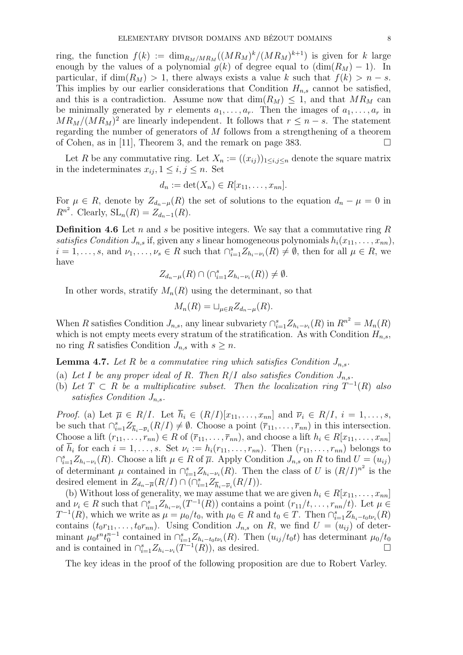ring, the function  $f(k) := \dim_{R_M/MR_M} ((MR_M)^k/(MR_M)^{k+1})$  is given for k large enough by the values of a polynomial  $g(k)$  of degree equal to  $(\dim(R_M) - 1)$ . In particular, if  $\dim(R_M) > 1$ , there always exists a value k such that  $f(k) > n - s$ . This implies by our earlier considerations that Condition  $H_{n,s}$  cannot be satisfied, and this is a contradiction. Assume now that  $\dim(R_M) \leq 1$ , and that  $MR_M$  can be minimally generated by r elements  $a_1, \ldots, a_r$ . Then the images of  $a_1, \ldots, a_r$  in  $MR_M/(MR_M)^2$  are linearly independent. It follows that  $r \leq n - s$ . The statement regarding the number of generators of M follows from a strengthening of a theorem of Cohen, as in [11], Theorem 3, and the remark on page 383.  $\Box$ 

Let R be any commutative ring. Let  $X_n := ((x_{ij})_{1 \le i,j \le n}$  denote the square matrix in the indeterminates  $x_{ij}$ ,  $1 \leq i, j \leq n$ . Set

$$
d_n := \det(X_n) \in R[x_{11}, \ldots, x_{nn}].
$$

For  $\mu \in R$ , denote by  $Z_{d_n-\mu}(R)$  the set of solutions to the equation  $d_n - \mu = 0$  in  $R^{n^2}$ . Clearly,  $\operatorname{SL}_n(R) = Z_{d_n-1}(R)$ .

**Definition 4.6** Let n and s be positive integers. We say that a commutative ring R satisfies Condition  $J_{n,s}$  if, given any s linear homogeneous polynomials  $h_i(x_{11}, \ldots, x_{nn}),$  $i = 1, \ldots, s$ , and  $\nu_1, \ldots, \nu_s \in R$  such that  $\bigcap_{i=1}^s Z_{h_i-\nu_i}(R) \neq \emptyset$ , then for all  $\mu \in R$ , we have

$$
Z_{d_n-\mu}(R)\cap(\cap_{i=1}^s Z_{h_i-\nu_i}(R))\neq\emptyset.
$$

In other words, stratify  $M_n(R)$  using the determinant, so that

$$
M_n(R) = \sqcup_{\mu \in R} Z_{d_n - \mu}(R).
$$

When R satisfies Condition  $J_{n,s}$ , any linear subvariety  $\bigcap_{i=1}^s Z_{h_i-\nu_i}(R)$  in  $R^{n^2} = M_n(R)$ which is not empty meets every stratum of the stratification. As with Condition  $H_{n,s}$ , no ring R satisfies Condition  $J_{n,s}$  with  $s \geq n$ .

**Lemma 4.7.** Let R be a commutative ring which satisfies Condition  $J_{n,s}$ .

- (a) Let I be any proper ideal of R. Then  $R/I$  also satisfies Condition  $J_{n,s}$ .
- (b) Let  $T \subset R$  be a multiplicative subset. Then the localization ring  $T^{-1}(R)$  also satisfies Condition  $J_{n,s}$ .

*Proof.* (a) Let  $\overline{\mu} \in R/I$ . Let  $\overline{h}_i \in (R/I)[x_{11},...,x_{nn}]$  and  $\overline{\nu}_i \in R/I$ ,  $i = 1,...,s$ , be such that  $\bigcap_{i=1}^s Z_{\overline{h}_i-\overline{\nu}_i}(R/I) \neq \emptyset$ . Choose a point  $(\overline{r}_{11},\ldots,\overline{r}_{nn})$  in this intersection. Choose a lift  $(r_{11}, \ldots, r_{nn}) \in R$  of  $(\bar{r}_{11}, \ldots, \bar{r}_{nn})$ , and choose a lift  $h_i \in R[x_{11}, \ldots, x_{nn}]$ of  $h_i$  for each  $i = 1, \ldots, s$ . Set  $\nu_i := h_i(r_{11}, \ldots, r_{nn})$ . Then  $(r_{11}, \ldots, r_{nn})$  belongs to  $\bigcap_{i=1}^s Z_{h_i-\nu_i}(R)$ . Choose a lift  $\mu \in R$  of  $\overline{\mu}$ . Apply Condition  $J_{n,s}$  on R to find  $U = (u_{ij})$ of determinant  $\mu$  contained in  $\bigcap_{i=1}^s Z_{h_i-\nu_i}(R)$ . Then the class of U is  $(R/I)^{n^2}$  is the desired element in  $Z_{d_n-\overline{\mu}}(R/I) \cap (\bigcap_{i=1}^s Z_{\overline{h}_i-\overline{\nu}_i}(R/I)).$ 

(b) Without loss of generality, we may assume that we are given  $h_i \in R[x_{11}, \ldots, x_{nn}]$ and  $\nu_i \in R$  such that  $\bigcap_{i=1}^s Z_{h_i-\nu_i}(T^{-1}(R))$  contains a point  $(r_{11}/t, \ldots, r_{nn}/t)$ . Let  $\mu \in$  $T^{-1}(R)$ , which we write as  $\mu = \mu_0/t_0$ , with  $\mu_0 \in R$  and  $t_0 \in T$ . Then  $\bigcap_{i=1}^s Z_{h_i-t_0t\nu_i}(R)$ contains  $(t_0r_{11}, \ldots, t_0r_{nn})$ . Using Condition  $J_{n,s}$  on R, we find  $U = (u_{ij})$  of determinant  $\mu_0 t^n t_0^{n-1}$  contained in  $\bigcap_{i=1}^s Z_{h_i-t_0t\nu_i}(R)$ . Then  $(u_{ij}/t_0t)$  has determinant  $\mu_0/t_0$ and is contained in  $\bigcap_{i=1}^s Z_{h_i-\nu_i}(T^{-1}(R))$ , as desired.

The key ideas in the proof of the following proposition are due to Robert Varley.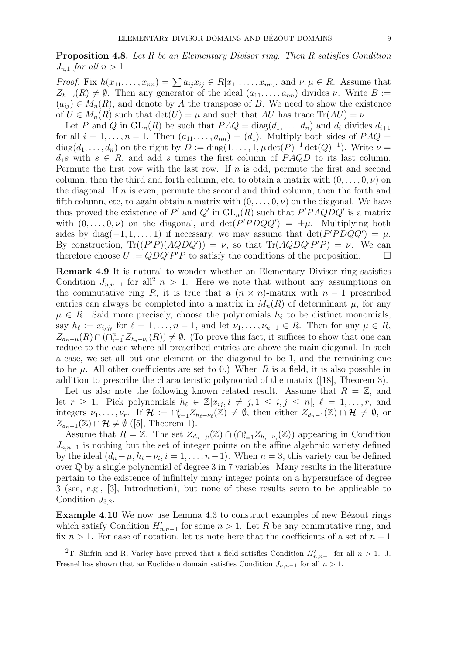Proposition 4.8. Let R be an Elementary Divisor ring. Then R satisfies Condition  $J_{n,1}$  for all  $n > 1$ .

*Proof.* Fix  $h(x_{11},...,x_{nn}) = \sum a_{ij}x_{ij} \in R[x_{11},...,x_{nn}],$  and  $\nu, \mu \in R$ . Assume that  $Z_{h-\nu}(R) \neq \emptyset$ . Then any generator of the ideal  $(a_{11}, \ldots, a_{nn})$  divides  $\nu$ . Write  $B :=$  $(a_{ij}) \in M_n(R)$ , and denote by A the transpose of B. We need to show the existence of  $U \in M_n(R)$  such that  $\det(U) = \mu$  and such that AU has trace  $\text{Tr}(AU) = \nu$ .

Let P and Q in  $GL_n(R)$  be such that  $PAQ = diag(d_1, \ldots, d_n)$  and  $d_i$  divides  $d_{i+1}$ for all  $i = 1, \ldots, n - 1$ . Then  $(a_{11}, \ldots, a_{nn}) = (d_1)$ . Multiply both sides of  $PAQ =$  $diag(d_1, \ldots, d_n)$  on the right by  $D := diag(1, \ldots, 1, \mu \det(P)^{-1} \det(Q)^{-1})$ . Write  $\nu =$  $d_1s$  with  $s \in R$ , and add s times the first column of PAQD to its last column. Permute the first row with the last row. If  $n$  is odd, permute the first and second column, then the third and forth column, etc, to obtain a matrix with  $(0, \ldots, 0, \nu)$  on the diagonal. If  $n$  is even, permute the second and third column, then the forth and fifth column, etc, to again obtain a matrix with  $(0, \ldots, 0, \nu)$  on the diagonal. We have thus proved the existence of P' and Q' in  $GL_n(R)$  such that  $P'PAQDQ'$  is a matrix with  $(0, \ldots, 0, \nu)$  on the diagonal, and  $\det(P'PDQQ') = \pm \mu$ . Multiplying both sides by diag( $-1, 1, ..., 1$ ) if necessary, we may assume that  $\det(P'PDQQ') = \mu$ . By construction,  $\text{Tr}((P'P)(AQDQ')) = \nu$ , so that  $\text{Tr}(AQDQ'P'P) = \nu$ . We can therefore choose  $U := QDQ'P'P$  to satisfy the conditions of the proposition.

Remark 4.9 It is natural to wonder whether an Elementary Divisor ring satisfies Condition  $J_{n,n-1}$  for all<sup>2</sup>  $n > 1$ . Here we note that without any assumptions on the commutative ring R, it is true that a  $(n \times n)$ -matrix with  $n-1$  prescribed entries can always be completed into a matrix in  $M_n(R)$  of determinant  $\mu$ , for any  $\mu \in R$ . Said more precisely, choose the polynomials  $h_{\ell}$  to be distinct monomials, say  $h_{\ell} := x_{i_{\ell}j_{\ell}}$  for  $\ell = 1, \ldots, n - 1$ , and let  $\nu_1, \ldots, \nu_{n-1} \in R$ . Then for any  $\mu \in R$ ,  $Z_{d_n-\mu}(R) \cap (\cap_{i=1}^{n-1} Z_{h_i-\nu_i}(R)) \neq \emptyset$ . (To prove this fact, it suffices to show that one can reduce to the case where all prescribed entries are above the main diagonal. In such a case, we set all but one element on the diagonal to be 1, and the remaining one to be  $\mu$ . All other coefficients are set to 0.) When R is a field, it is also possible in addition to prescribe the characteristic polynomial of the matrix ([18], Theorem 3).

Let us also note the following known related result. Assume that  $R = \mathbb{Z}$ , and let  $r \ge 1$ . Pick polynomials  $h_\ell \in \mathbb{Z}[x_{ij}, i \ne j, 1 \le i, j \le n]$ ,  $\ell = 1, \ldots, r$ , and integers  $\nu_1, \ldots, \nu_r$ . If  $\mathcal{H} := \bigcap_{\ell=1}^r Z_{h_\ell-\nu_\ell}(\mathbb{Z}) \neq \emptyset$ , then either  $Z_{d_n-1}(\mathbb{Z}) \cap \mathcal{H} \neq \emptyset$ , or  $Z_{d_n+1}(\mathbb{Z}) \cap \mathcal{H} \neq \emptyset$  ([5], Theorem 1).

Assume that  $R = \mathbb{Z}$ . The set  $Z_{d_n-\mu}(\mathbb{Z}) \cap (\bigcap_{i=1}^s Z_{h_i-\nu_i}(\mathbb{Z}))$  appearing in Condition  $J_{n,n-1}$  is nothing but the set of integer points on the affine algebraic variety defined by the ideal  $(d_n - \mu, h_i - \nu_i, i = 1, \dots, n-1)$ . When  $n = 3$ , this variety can be defined over Q by a single polynomial of degree 3 in 7 variables. Many results in the literature pertain to the existence of infinitely many integer points on a hypersurface of degree 3 (see, e.g., [3], Introduction), but none of these results seem to be applicable to Condition  $J_{3,2}$ .

**Example 4.10** We now use Lemma 4.3 to construct examples of new B $\acute{e}z$ out rings which satisfy Condition  $H'_{n,n-1}$  for some  $n > 1$ . Let R be any commutative ring, and fix  $n > 1$ . For ease of notation, let us note here that the coefficients of a set of  $n - 1$ 

<sup>&</sup>lt;sup>2</sup>T. Shifrin and R. Varley have proved that a field satisfies Condition  $H'_{n,n-1}$  for all  $n > 1$ . J. Fresnel has shown that an Euclidean domain satisfies Condition  $J_{n,n-1}$  for all  $n > 1$ .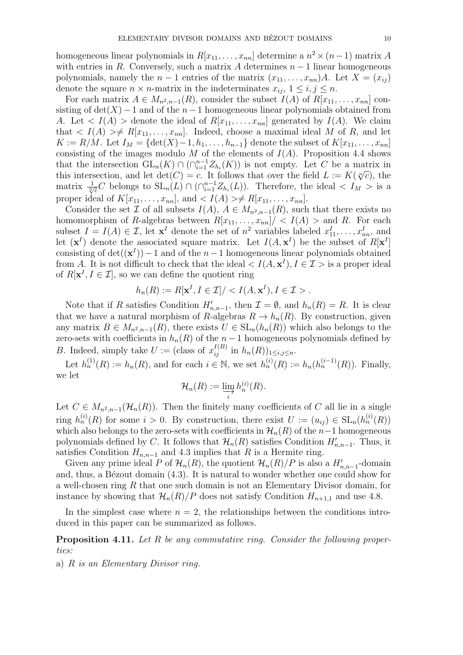homogeneous linear polynomials in  $R[x_{11},...,x_{nn}]$  determine a  $n^2 \times (n-1)$  matrix A with entries in R. Conversely, such a matrix A determines  $n-1$  linear homogeneous polynomials, namely the  $n-1$  entries of the matrix  $(x_{11},...,x_{nn})A$ . Let  $X=(x_{ij})$ denote the square  $n \times n$ -matrix in the indeterminates  $x_{ij}$ ,  $1 \le i, j \le n$ .

For each matrix  $A \in M_{n^2,n-1}(R)$ , consider the subset  $I(A)$  of  $R[x_{11},...,x_{nn}]$  consisting of  $\det(X)$  – 1 and of the  $n-1$  homogeneous linear polynomials obtained from A. Let  $\langle I(A) \rangle$  denote the ideal of  $R[x_{11},...,x_{nn}]$  generated by  $I(A)$ . We claim that  $\langle I(A) \rangle \neq R[x_{11},...,x_{nn}]$ . Indeed, choose a maximal ideal M of R, and let  $K := R/M$ . Let  $I_M = \{\det(X) - 1, h_1, \ldots, h_{n-1}\}\$  denote the subset of  $K[x_{11}, \ldots, x_{nn}]$ consisting of the images modulo M of the elements of  $I(A)$ . Proposition 4.4 shows that the intersection  $GL_n(K) \cap (\bigcap_{i=1}^{n-1} Z_{h_i}(K))$  is not empty. Let C be a matrix in that the intersection  $GL_n(\Lambda) \cap (\prod_{i=1}^n \mathbb{Z}_{h_i}(\Lambda))$  is not empty. Let C be a matrix in this intersection, and let  $\det(C) = c$ . It follows that over the field  $L := K(\sqrt[n]{c})$ , the matrix  $\frac{1}{\sqrt[n]{c}}C$  belongs to  $SL_n(L) \cap (\bigcap_{i=1}^{n-1} Z_{h_i}(L))$ . Therefore, the ideal  $\langle I_M \rangle$  is a proper ideal of  $K[x_{11}, \ldots, x_{nn}]$ , and  $\langle I(A) \rangle \neq R[x_{11}, \ldots, x_{nn}]$ .

Consider the set  $\mathcal I$  of all subsets  $I(A), A \in M_{n^2,n-1}(R)$ , such that there exists no homomorphism of R-algebras between  $R[x_{11}, \ldots, x_{nn}]/\langle I(A) \rangle$  and R. For each subset  $I = I(A) \in \mathcal{I}$ , let  $\mathbf{x}^I$  denote the set of  $n^2$  variables labeled  $x_{11}^I, \ldots, x_{nn}^I$ , and let  $(\mathbf{x}^I)$  denote the associated square matrix. Let  $I(A, \mathbf{x}^I)$  be the subset of  $R[\mathbf{x}^I]$ consisting of  $det((x^I)) - 1$  and of the  $n-1$  homogeneous linear polynomials obtained from A. It is not difficult to check that the ideal  $\langle I(A, \mathbf{x}^I), I \in \mathcal{I} \rangle$  is a proper ideal of  $R[\mathbf{x}^I, I \in \mathcal{I}]$ , so we can define the quotient ring

$$
h_n(R) := R[\mathbf{x}^I, I \in \mathcal{I}]/ < I(A, \mathbf{x}^I), I \in \mathcal{I} > .
$$

Note that if R satisfies Condition  $H'_{n,n-1}$ , then  $\mathcal{I} = \emptyset$ , and  $h_n(R) = R$ . It is clear that we have a natural morphism of R-algebras  $R \to h_n(R)$ . By construction, given any matrix  $B \in M_{n^2,n-1}(R)$ , there exists  $U \in SL_n(h_n(R))$  which also belongs to the zero-sets with coefficients in  $h_n(R)$  of the  $n-1$  homogeneous polynomials defined by *B*. Indeed, simply take  $U := (\text{class of } x_{ij}^{I(B)} \text{ in } h_n(R))_{1 \le i,j \le n}$ .

Let  $h_n^{(1)}(R) := h_n(R)$ , and for each  $i \in \mathbb{N}$ , we set  $h_n^{(i)}(R) := h_n(h_n^{(i-1)}(R))$ . Finally, we let

$$
\mathcal{H}_n(R) := \varinjlim_i h_n^{(i)}(R).
$$

Let  $C \in M_{n^2,n-1}(\mathcal{H}_n(R))$ . Then the finitely many coefficients of C all lie in a single ring  $h_n^{(i)}(R)$  for some  $i > 0$ . By construction, there exist  $U := (u_{ij}) \in SL_n(h_n^{(i)}(R))$ which also belongs to the zero-sets with coefficients in  $\mathcal{H}_n(R)$  of the n−1 homogeneous polynomials defined by C. It follows that  $\mathcal{H}_n(R)$  satisfies Condition  $H'_{n,n-1}$ . Thus, it satisfies Condition  $H_{n,n-1}$  and 4.3 implies that R is a Hermite ring.

Given any prime ideal P of  $\mathcal{H}_n(R)$ , the quotient  $\mathcal{H}_n(R)/P$  is also a  $H'_{n,n-1}$ -domain and, thus, a Bézout domain  $(4.3)$ . It is natural to wonder whether one could show for a well-chosen ring R that one such domain is not an Elementary Divisor domain, for instance by showing that  $\mathcal{H}_n(R)/P$  does not satisfy Condition  $H_{n+1,1}$  and use 4.8.

In the simplest case where  $n = 2$ , the relationships between the conditions introduced in this paper can be summarized as follows.

Proposition 4.11. Let R be any commutative ring. Consider the following properties:

a) R is an Elementary Divisor ring.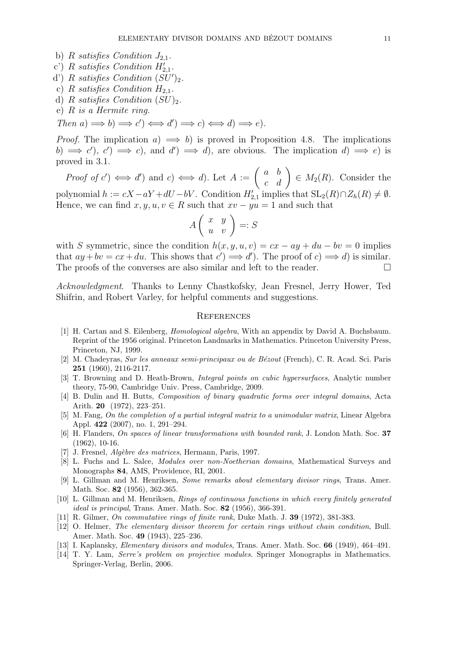- b) R satisfies Condition  $J_{2,1}$ .
- c') R satisfies Condition  $H'_{2,1}$ .
- d') R satisfies Condition  $(SU')_2$ .
- c) R satisfies Condition  $H_{2,1}$ .
- d) R satisfies Condition  $(SU)_{2}$ .
- e) R is a Hermite ring.

Then  $a) \Longrightarrow b) \Longrightarrow c' \Longrightarrow d' \Longrightarrow c \Longleftrightarrow d \Longrightarrow e$ .

*Proof.* The implication  $a) \implies b$ ) is proved in Proposition 4.8. The implications b)  $\Rightarrow$  c'), c')  $\Rightarrow$  c), and d')  $\Rightarrow$  d), are obvious. The implication d)  $\Rightarrow$  e) is proved in 3.1.

Proof of  $c'$   $\iff d'$  and  $c$   $\iff d$ . Let  $A := \begin{pmatrix} a & b \\ c & d \end{pmatrix} \in M_2(R)$ . Consider the polynomial  $h := cX - aY + dU - bV$ . Condition  $H'_{2,1}$  implies that  $SL_2(R) \cap Z_h(R) \neq \emptyset$ . Hence, we can find  $x, y, u, v \in R$  such that  $xv - yu = 1$  and such that

$$
A\left(\begin{array}{cc} x & y \\ u & v \end{array}\right) =: S
$$

with S symmetric, since the condition  $h(x, y, u, v) = cx - ay + du - bv = 0$  implies that  $ay + bv = cx + du$ . This shows that  $c' \implies d'$ ). The proof of  $c \implies d$  is similar. The proofs of the converses are also similar and left to the reader.  $\Box$ 

Acknowledgment. Thanks to Lenny Chastkofsky, Jean Fresnel, Jerry Hower, Ted Shifrin, and Robert Varley, for helpful comments and suggestions.

#### **REFERENCES**

- [1] H. Cartan and S. Eilenberg, Homological algebra, With an appendix by David A. Buchsbaum. Reprint of the 1956 original. Princeton Landmarks in Mathematics. Princeton University Press, Princeton, NJ, 1999.
- [2] M. Chadeyras, Sur les anneaux semi-principaux ou de Bézout (French), C. R. Acad. Sci. Paris 251 (1960), 2116-2117.
- [3] T. Browning and D. Heath-Brown, *Integral points on cubic hypersurfaces*, Analytic number theory, 75-90, Cambridge Univ. Press, Cambridge, 2009.
- [4] B. Dulin and H. Butts, Composition of binary quadratic forms over integral domains, Acta Arith. 20 (1972), 223–251.
- [5] M. Fang, On the completion of a partial integral matrix to a unimodular matrix, Linear Algebra Appl. 422 (2007), no. 1, 291–294.
- [6] H. Flanders, On spaces of linear transformations with bounded rank, J. London Math. Soc. 37 (1962), 10-16.
- [7] J. Fresnel, Algèbre des matrices, Hermann, Paris, 1997.
- [8] L. Fuchs and L. Salce, Modules over non-Noetherian domains, Mathematical Surveys and Monographs 84, AMS, Providence, RI, 2001.
- [9] L. Gillman and M. Henriksen, Some remarks about elementary divisor rings, Trans. Amer. Math. Soc. **82** (1956), 362-365.
- [10] L. Gillman and M. Henriksen, Rings of continuous functions in which every finitely generated ideal is principal, Trans. Amer. Math. Soc. 82 (1956), 366-391.
- [11] R. Gilmer, On commutative rings of finite rank, Duke Math. J. 39 (1972), 381-383.
- [12] O. Helmer, The elementary divisor theorem for certain rings without chain condition, Bull. Amer. Math. Soc. 49 (1943), 225–236.
- [13] I. Kaplansky, Elementary divisors and modules, Trans. Amer. Math. Soc. 66 (1949), 464–491.
- [14] T. Y. Lam, Serre's problem on projective modules. Springer Monographs in Mathematics. Springer-Verlag, Berlin, 2006.